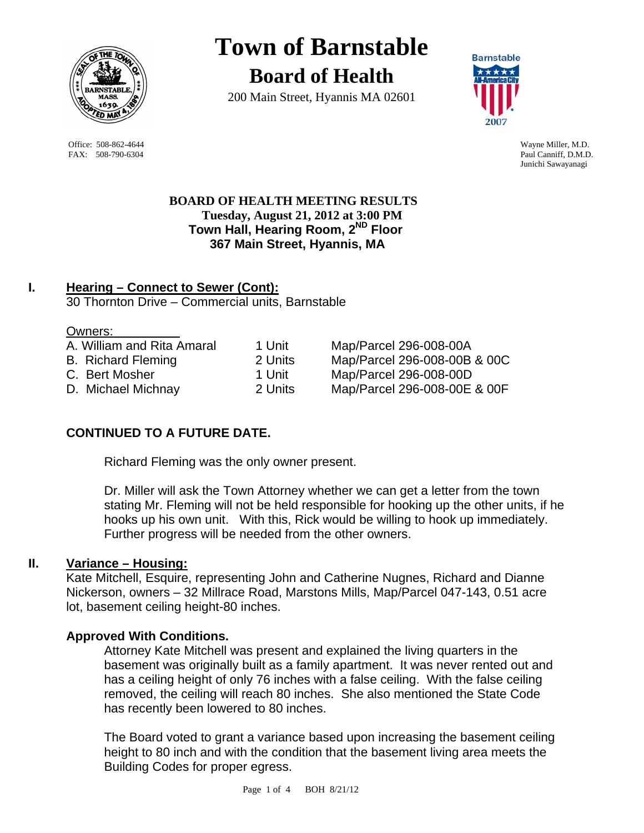

 Office: 508-862-4644 Wayne Miller, M.D. FAX: 508-790-6304 Paul Canniff, D.M.D.

# **Town of Barnstable**

**Board of Health**

200 Main Street, Hyannis MA 02601



Junichi Sawayanagi

 **BOARD OF HEALTH MEETING RESULTS Tuesday, August 21, 2012 at 3:00 PM Town Hall, Hearing Room, 2ND Floor 367 Main Street, Hyannis, MA** 

# **I. Hearing – Connect to Sewer (Cont):** 30 Thornton Drive – Commercial units, Barnstable

#### Owners:

| A. William and Rita Amaral | 1 Unit  |
|----------------------------|---------|
| <b>B.</b> Richard Fleming  | 2 Units |
| C. Bert Mosher             | 1 Unit  |
| D. Michael Michnay         | 2 Units |

Map/Parcel 296-008-00A Map/Parcel 296-008-00B & 00C Map/Parcel 296-008-00D Map/Parcel 296-008-00E & 00F

# **CONTINUED TO A FUTURE DATE.**

Richard Fleming was the only owner present.

Dr. Miller will ask the Town Attorney whether we can get a letter from the town stating Mr. Fleming will not be held responsible for hooking up the other units, if he hooks up his own unit. With this, Rick would be willing to hook up immediately. Further progress will be needed from the other owners.

## **II. Variance – Housing:**

Kate Mitchell, Esquire, representing John and Catherine Nugnes, Richard and Dianne Nickerson, owners – 32 Millrace Road, Marstons Mills, Map/Parcel 047-143, 0.51 acre lot, basement ceiling height-80 inches.

## **Approved With Conditions.**

Attorney Kate Mitchell was present and explained the living quarters in the basement was originally built as a family apartment. It was never rented out and has a ceiling height of only 76 inches with a false ceiling. With the false ceiling removed, the ceiling will reach 80 inches. She also mentioned the State Code has recently been lowered to 80 inches.

The Board voted to grant a variance based upon increasing the basement ceiling height to 80 inch and with the condition that the basement living area meets the Building Codes for proper egress.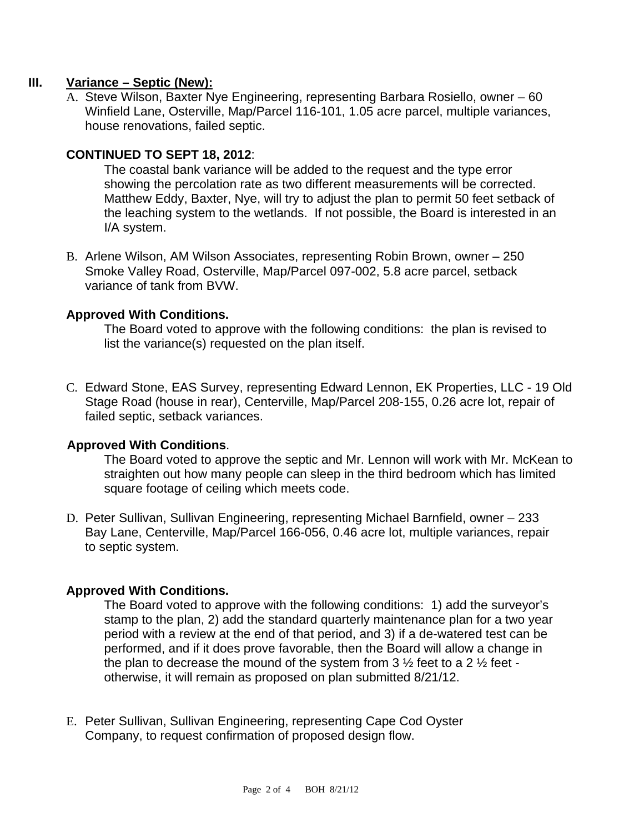## **III. Variance – Septic (New):**

A. Steve Wilson, Baxter Nye Engineering, representing Barbara Rosiello, owner – 60 Winfield Lane, Osterville, Map/Parcel 116-101, 1.05 acre parcel, multiple variances, house renovations, failed septic.

## **CONTINUED TO SEPT 18, 2012**:

The coastal bank variance will be added to the request and the type error showing the percolation rate as two different measurements will be corrected. Matthew Eddy, Baxter, Nye, will try to adjust the plan to permit 50 feet setback of the leaching system to the wetlands. If not possible, the Board is interested in an I/A system.

B. Arlene Wilson, AM Wilson Associates, representing Robin Brown, owner – 250 Smoke Valley Road, Osterville, Map/Parcel 097-002, 5.8 acre parcel, setback variance of tank from BVW.

## **Approved With Conditions.**

The Board voted to approve with the following conditions: the plan is revised to list the variance(s) requested on the plan itself.

C. Edward Stone, EAS Survey, representing Edward Lennon, EK Properties, LLC - 19 Old Stage Road (house in rear), Centerville, Map/Parcel 208-155, 0.26 acre lot, repair of failed septic, setback variances.

## **Approved With Conditions**.

The Board voted to approve the septic and Mr. Lennon will work with Mr. McKean to straighten out how many people can sleep in the third bedroom which has limited square footage of ceiling which meets code.

D. Peter Sullivan, Sullivan Engineering, representing Michael Barnfield, owner – 233 Bay Lane, Centerville, Map/Parcel 166-056, 0.46 acre lot, multiple variances, repair to septic system.

#### **Approved With Conditions.**

The Board voted to approve with the following conditions: 1) add the surveyor's stamp to the plan, 2) add the standard quarterly maintenance plan for a two year period with a review at the end of that period, and 3) if a de-watered test can be performed, and if it does prove favorable, then the Board will allow a change in the plan to decrease the mound of the system from  $3\frac{1}{2}$  feet to a 2  $\frac{1}{2}$  feet otherwise, it will remain as proposed on plan submitted 8/21/12.

E. Peter Sullivan, Sullivan Engineering, representing Cape Cod Oyster Company, to request confirmation of proposed design flow.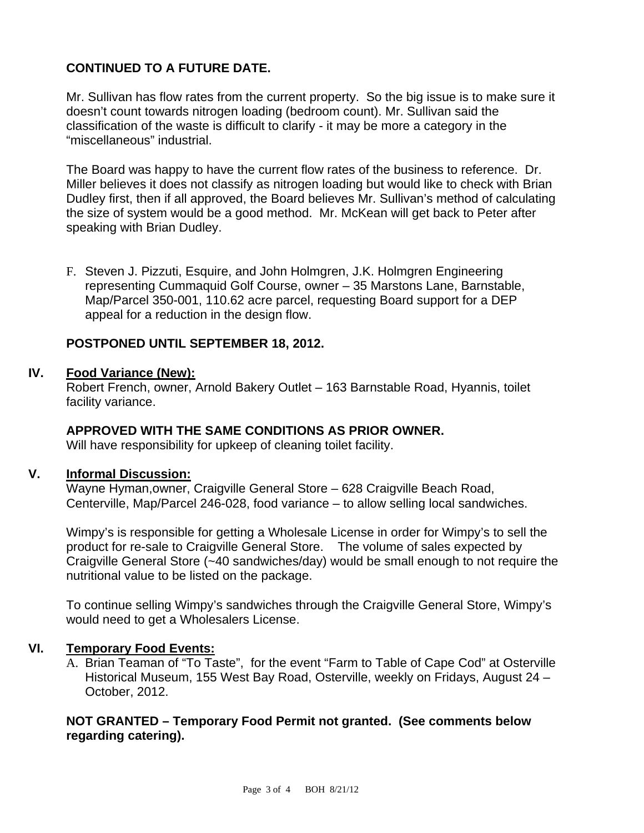# **CONTINUED TO A FUTURE DATE.**

Mr. Sullivan has flow rates from the current property. So the big issue is to make sure it doesn't count towards nitrogen loading (bedroom count). Mr. Sullivan said the classification of the waste is difficult to clarify - it may be more a category in the "miscellaneous" industrial.

The Board was happy to have the current flow rates of the business to reference. Dr. Miller believes it does not classify as nitrogen loading but would like to check with Brian Dudley first, then if all approved, the Board believes Mr. Sullivan's method of calculating the size of system would be a good method. Mr. McKean will get back to Peter after speaking with Brian Dudley.

F. Steven J. Pizzuti, Esquire, and John Holmgren, J.K. Holmgren Engineering representing Cummaquid Golf Course, owner – 35 Marstons Lane, Barnstable, Map/Parcel 350-001, 110.62 acre parcel, requesting Board support for a DEP appeal for a reduction in the design flow.

# **POSTPONED UNTIL SEPTEMBER 18, 2012.**

## **IV. Food Variance (New):**

Robert French, owner, Arnold Bakery Outlet – 163 Barnstable Road, Hyannis, toilet facility variance.

## **APPROVED WITH THE SAME CONDITIONS AS PRIOR OWNER.**

Will have responsibility for upkeep of cleaning toilet facility.

## **V. Informal Discussion:**

Wayne Hyman,owner, Craigville General Store – 628 Craigville Beach Road, Centerville, Map/Parcel 246-028, food variance – to allow selling local sandwiches.

Wimpy's is responsible for getting a Wholesale License in order for Wimpy's to sell the product for re-sale to Craigville General Store. The volume of sales expected by Craigville General Store (~40 sandwiches/day) would be small enough to not require the nutritional value to be listed on the package.

To continue selling Wimpy's sandwiches through the Craigville General Store, Wimpy's would need to get a Wholesalers License.

# **VI. Temporary Food Events:**

A. Brian Teaman of "To Taste", for the event "Farm to Table of Cape Cod" at Osterville Historical Museum, 155 West Bay Road, Osterville, weekly on Fridays, August 24 – October, 2012.

## **NOT GRANTED – Temporary Food Permit not granted. (See comments below regarding catering).**